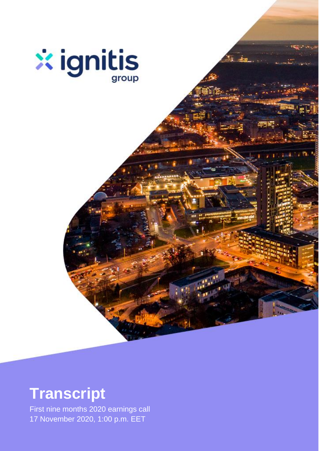

# **Transcript**

First nine months 2020 earnings call 17 November 2020, 1:00 p.m. EET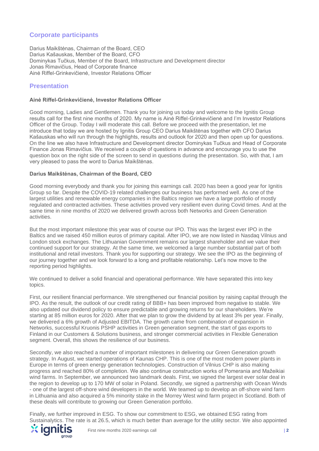# **Corporate participants**

Darius Maikštėnas, Chairman of the Board, CEO Darius Kašauskas, Member of the Board, CFO Dominykas Tučkus, Member of the Board, Infrastructure and Development director Jonas Rimavičius, Head of Corporate finance Ainė Riffel-Grinkevičienė, Investor Relations Officer

## **Presentation**

## **Ainė Riffel-Grinkevičienė, Investor Relations Officer**

Good morning, Ladies and Gentlemen. Thank you for joining us today and welcome to the Ignitis Group results call for the first nine months of 2020. My name is Ainė Riffel-Grinkevičienė and I'm Investor Relations Officer of the Group. Today I will moderate this call. Before we proceed with the presentation, let me introduce that today we are hosted by Ignitis Group CEO Darius Maikštėnas together with CFO Darius Kašauskas who will run through the highlights, results and outlook for 2020 and then open up for questions. On the line we also have Infrastructure and Development director Dominykas Tučkus and Head of Corporate Finance Jonas Rimavičius. We received a couple of questions in advance and encourage you to use the question box on the right side of the screen to send in questions during the presentation. So, with that, I am very pleased to pass the word to Darius Maikštėnas.

## **Darius Maikštėnas, Chairman of the Board, CEO**

Good morning everybody and thank you for joining this earnings call. 2020 has been a good year for Ignitis Group so far. Despite the COVID-19 related challenges our business has performed well. As one of the largest utilities and renewable energy companies in the Baltics region we have a large portfolio of mostly regulated and contracted activities. These activities proved very resilient even during Covid times. And at the same time in nine months of 2020 we delivered growth across both Networks and Green Generation activities.

But the most important milestone this year was of course our IPO. This was the largest ever IPO in the Baltics and we raised 450 million euros of primary capital. After IPO, we are now listed in Nasdaq Vilnius and London stock exchanges. The Lithuanian Government remains our largest shareholder and we value their continued support for our strategy. At the same time, we welcomed a large number substantial part of both institutional and retail investors. Thank you for supporting our strategy. We see the IPO as the beginning of our journey together and we look forward to a long and profitable relationship. Let's now move to the reporting period highlights.

We continued to deliver a solid financial and operational performance. We have separated this into key topics.

First, our resilient financial performance. We strengthened our financial position by raising capital through the IPO. As the result, the outlook of our credit rating of BBB+ has been improved from negative to stable. We also updated our dividend policy to ensure predictable and growing returns for our shareholders. We're starting at 85 million euros for 2020. After that we plan to grow the dividend by at least 3% per year. Finally, we delivered a 6% growth of Adjusted EBITDA. The growth came from combination of expansion in Networks, successful Kruonis PSHP activities in Green generation segment, the start of gas exports to Finland in our Customers & Solutions business, and stronger commercial activities in Flexible Generation segment. Overall, this shows the resilience of our business.

Secondly, we also reached a number of important milestones in delivering our Green Generation growth strategy. In August, we started operations of Kaunas CHP. This is one of the most modern power plants in Europe in terms of green energy generation technologies. Construction of Vilnius CHP is also making progress and reached 80% of completion. We also continue construction works of Pomerania and Mažeikiai wind farms. In September, we announced two landmark deals. First, we signed the largest ever solar deal in the region to develop up to 170 MW of solar in Poland. Secondly, we signed a partnership with Ocean Winds - one of the largest off-shore wind developers in the world. We teamed up to develop an off-shore wind farm in Lithuania and also acquired a 5% minority stake in the Morrey West wind farm project in Scotland. Both of these deals will contribute to growing our Green Generation portfolio.

Finally, we further improved in ESG. To show our commitment to ESG, we obtained ESG rating from Sustainalytics. The rate is at 26.5, which is much better than average for the utility sector. We also appointed

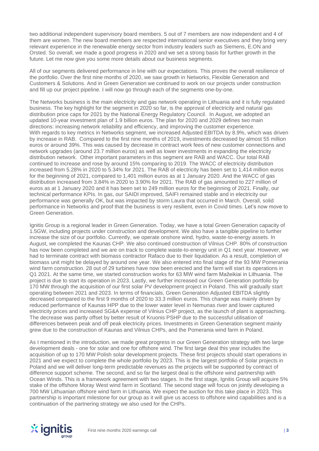two additional independent supervisory board members. 5 out of 7 members are now independent and 4 of them are women. The new board members are respected international senior executives and they bring very relevant experience in the renewable energy sector from industry leaders such as Siemens, E.ON and Orsted. So overall, we made a good progress in 2020 and we set a strong basis for further growth in the future. Let me now give you some more details about our business segments.

All of our segments delivered performance in line with our expectations. This proves the overall resilience of the portfolio. Over the first nine months of 2020, we saw growth in Networks, Flexible Generation and Customers & Solutions. And in Green Generation we continued to work on our projects under construction and fill up our project pipeline. I will now go through each of the segments one-by-one.

The Networks business is the main electricity and gas network operating in Lithuania and it is fully regulated business. The key highlight for the segment in 2020 so far, is the approval of electricity and natural gas distribution price caps for 2021 by the National Energy Regulatory Council. In August, we adopted an updated 10-year investment plan of 1.9 billion euros. The plan for 2020 and 2029 defines two main directions: increasing network reliability and efficiency, and improving the customer experience. With regards to key metrics in Networks segment, we increased Adjusted EBITDA by 8.9%, which was driven by increase in RAB. Compared to the first nine months of 2019, investments decreased by almost 55 million euros or around 39%. This was caused by decrease in contract work fees of new customer connections and network upgrades (around 23.7 million euros) as well as lower investments in expanding the electricity distribution network. Other important parameters in this segment are RAB and WACC. Our total RAB continued to increase and rose by around 15% comparing to 2019. The WACC of electricity distribution increased from 5.28% in 2020 to 5.34% for 2021. The RAB of electricity has been set to 1,414 million euros for the beginning of 2021, compared to 1,401 million euros as at 1 January 2020. And the WACC of gas distribution increased from 3.84% in 2020 to 3.90% for 2021. The RAB of gas amounted to 227 million of euros as at 1 January 2020 and it has been set to 249 million euros for the beginning of 2021. Finally, our technical performance KPIs. In gas, our SAIDI improved, SAIFI remained stable and in electricity our performance was generally OK, but was impacted by storm Laura that occurred in March. Overall, solid performance in Networks and proof that the business is very resilient, even in Covid times. Let's now move to Green Generation.

Ignitis Group is a regional leader in Green Generation. Today, we have a total Green Generation capacity of 1.5GW, including projects under construction and development. We also have a tangible pipeline to further increase the size of our portfolio. Currently, we operate onshore wind, hydro, waste-to-energy assets. In August, we completed the Kaunas CHP. We also continued construction of Vilnius CHP. 80% of construction has now been completed and we are on track to complete waste-to-energy unit in Q1 next year. However, we had to terminate contract with biomass contractor Rafaco due to their liquidation. As a result, completion of biomass unit might be delayed by around one year. We also entered into final stage of the 93 MW Pomerania wind farm construction. 28 out of 29 turbines have now been erected and the farm will start its operations in Q1 2021. At the same time, we started construction works for 63 MW wind farm Mažeikiai in Lithuania. The project is due to start its operation in 2023. Lastly, we further increased our Green Generation portfolio by 170 MW through the acquisition of our first solar PV development project in Poland. This will gradually start operating between 2021 and 2023. In terms of financials, Green Generation Adjusted EBITDA slightly decreased compared to the first 9 months of 2020 to 33.3 million euros. This change was mainly driven by reduced performance of Kaunas HPP due to the lower water level in Nemunas river and lower captured electricity prices and increased SG&A expense of Vilnius CHP project, as the launch of plant is approaching. The decrease was partly offset by better result of Kruonis PSHP due to the successful utilisation of differences between peak and off peak electricity prices. Investments in Green Generation segment mainly grew due to the construction of Kaunas and Vilnius CHPs, and the Pomerania wind farm in Poland.

As I mentioned in the introduction, we made great progress in our Green Generation strategy with two large development deals - one for solar and one for offshore wind. The first large deal this year includes the acquisition of up to 170 MW Polish solar development projects. These first projects should start operations in 2021 and we expect to complete the whole portfolio by 2023. This is the largest portfolio of Solar projects in Poland and we will deliver long-term predictable revenues as the projects will be supported by contract of difference support scheme. The second, and so far the largest deal is the offshore wind partnership with Ocean Winds. This is a framework agreement with two stages. In the first stage, Ignitis Group will acquire 5% stake of the offshore Moray West wind farm in Scotland. The second stage will focus on jointly developing a 700 MW Lithuanian offshore wind farm in Lithuania. We expect the auction for this take place in 2023. This partnership is important milestone for our group as it will give us access to offshore wind capabilities and is a continuation of the partnering strategy we also used for the CHPs.

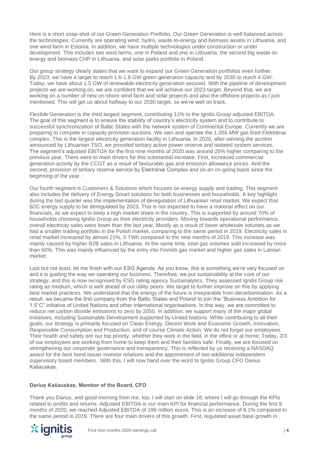Here is a short snap-shot of our Green Generation Portfolio. Our Green Generation is well balanced across the technologies. Currently are operating wind, hydro, waste-to-energy and biomass assets in Lithuania, and one wind-farm in Estonia. In addition, we have multiple technologies under construction or under development. This includes two wind farms, one in Poland and one in Lithuania, the second big waste-toenergy and biomass CHP in Lithuania, and solar parks portfolio in Poland.

Our group strategy clearly states that we want to expand our Green Generation portfolios even further. By 2023, we have a target to reach 1.6-1.8 GW green generation capacity and by 2030 to reach 4 GW. Today, we have about 1.5 GW of renewable electricity generation secured. With the pipeline of development projects we are working on, we are confident that we will achieve our 2023 target. Beyond that, we are working on a number of new on-shore wind farm and solar projects and also the offshore projects as I just mentioned. This will get us about halfway to our 2030 target, so we're well on track.

Flexible Generation is the third largest segment, contributing 11% to the Ignitis Group adjusted EBITDA. The goal of this segment is to ensure the stability of country's electricity system and to contribute to successful synchronization of Baltic States with the network system of Continental Europe. Currently we are preparing to compete in capacity provision auctions. We own and operate the 1,055 MW gas fired Elektrėnai complex. This is the largest electricity generation facility in Lithuania. In 2020, after winning the auction announced by Lithuanian TSO, we provided tertiary active power reserve and isolated system services. The segment's adjusted EBITDA for the first nine months of 2020 was around 25% higher comparing to the previous year. There were to main drivers for this substantial increase. First, increased commercial generation activity by the CCGT as a result of favourable gas and emission allowance prices. And the second, provision of tertiary reserve service by Elektrėnai Complex and on an on-going basis since the beginning of the year.

Our fourth segment is Customers & Solutions which focuses on energy supply and trading. This segment also includes the delivery of Energy Smart solutions for both businesses and households. A key highlight during the last quarter was the implementation of deregulation of Lithuanian retail market. We expect that B2C energy supply to be deregulated by 2023. This is not expected to have a material effect on our financials, as we expect to keep a high market share in the country. This is supported by around 70% of households choosing Ignitis Group as their electricity providers. Moving towards operational performance, overall electricity sales were lower than the last year. Mostly as a result of lower wholesale volumes as we had a smaller trading portfolio in the Polish market, comparing to the same period in 2019. Electricity sales in retail market increased by almost 21%, 5 TWh compared to the nine months of 2019. This increase was mainly caused by higher B2B sales in Lithuania. At the same time, total gas volumes sold increased by more than 60%. This was mainly influenced by the entry into Finnish gas market and higher gas sales in Latvian market.

Last but not least, let me finish with our ESG Agenda. As you know, this is something we're very focused on and it is guiding the way we operating our business. Therefore, we put sustainability at the core of our strategy, and this is now recognised by ESG rating agency Sustainalytics. They assessed Ignitis Group risk rating as medium, which is well ahead of our utility peers. We target to further improve on this by applying best market practices. We understand that the energy of the future is inseparable from decarbonisation. As a result, we became the first company from the Baltic States and Poland to join the "Business Ambition for 1.5°C" initiative of United Nations and other international organisations. In this way, we are committed to reduce net carbon dioxide emissions to zero by 2050. In addition, we support many of the major global initiatives, including Sustainable Development supported by United Nations. While contributing to all their goals, our strategy is primarily focused on Clean Energy, Decent Work and Economic Growth, Innovation, Responsible Consumption and Production, and of course Climate Action. We do not forget our employees. Their health and safety are our top priority, whether they work in the field, in the office or at home. Today, 2/3 of our employees are working from home to keep them and their families safe. Finally, we are focused on strengthening our corporate governance and transparency. This is reflected by us receiving a NASDAQ award for the best bond issuer investor relations and the appointment of two additional independent supervisory board members. With this, I will now hand over the word to Ignitis Group CFO Darius Kašauskas.

#### **Darius Kašauskas, Member of the Board, CFO**

Thank you Darius, and good morning from me, too. I will start on slide 18, where I will go through the KPIs related to profits and returns. Adjusted EBITDA is our main KPI for financial performance. During the first 9 months of 2020, we reached Adjusted EBITDA of 199 million euros. This is an increase of 6.1% compared to the same period in 2019. There are four main drivers of this growth. First, regulated asset base growth in

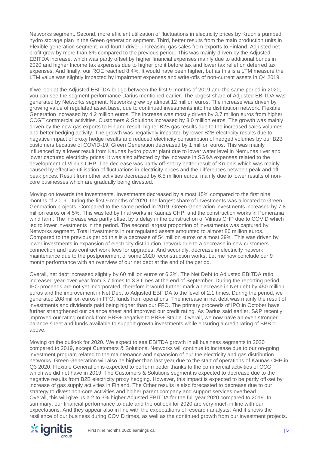Networks segment. Second, more efficient utilization of fluctuations in electricity prices by Kruonis pumped hydro storage plan in the Green generation segment. Third, better results from the main production units in Flexible generation segment. And fourth driver, increasing gas sales from exports to Finland. Adjusted net profit grew by more than 8% compared to the previous period. This was mainly driven by the Adjusted EBITDA increase, which was partly offset by higher financial expenses mainly due to additional bonds in 2020 and higher Income tax expenses due to higher profit before tax and lower tax relief on deferred tax expenses. And finally, our ROE reached 8.4%. It would have been higher, but as this is a LTM measure the LTM value was slightly impacted by impairment expenses and write-offs of non-current assets in Q4 2019.

If we look at the Adjusted EBITDA bridge between the first 9 months of 2019 and the same period in 2020, you can see the segment performance Darius mentioned earlier. The largest share of Adjusted EBITDA was generated by Networks segment. Networks grew by almost 12 million euros. The increase was driven by growing value of regulated asset base, due to continued investments into the distribution network. Flexible Generation increased by 4.2 million euros. The increase was mostly driven by 3.7 million euros from higher CCGT commercial activities. Customers & Solutions increased by 3.0 million euros. The growth was mainly driven by the new gas exports to Finland result, higher B2B gas results due to the increased sales volumes and better hedging activity. The growth was negatively impacted by lower B2B electricity results due to negative impact of proxy hedge results and reduced electricity consumption of hedged volumes by our B2B customers because of COVID-19. Green Generation decreased by 1 million euros. This was mainly influenced by a lower result from Kaunas hydro power plant due to lower water level in Nemunas river and lower captured electricity prices. It was also affected by the increase in SG&A expenses related to the development of Vilnius CHP. The decrease was partly off-set by better result of Kruonis which was mainly caused by effective utilisation of fluctuations in electricity prices and the differences between peak and offpeak prices. Result from other activities decreased by 6.5 million euros, mainly due to lower results of noncore businesses which are gradually being divested.

Moving on towards the investments. Investments decreased by almost 15% compared to the first nine months of 2019. During the first 9 months of 2020, the largest share of investments was allocated to Green Generation projects. Compared to the same period in 2019, Green Generation investments increased by 7.8 million euros or 4.5%. This was led by final works in Kaunas CHP, and the construction works in Pomerania wind farm. The increase was partly offset by a delay in the construction of Vilnius CHP due to COVID which led to lower investments in the period. The second largest proportion of investments was captured by Networks segment. Total investments in our regulated assets amounted to almost 86 million euros. Compared to the previous period this is a decrease of 54 million euros or almost 39%. This was driven by lower investments in expansion of electricity distribution network due to a decrease in new customers connection and less contract work fees for upgrades. And secondly, decrease in electricity network maintenance due to the postponement of some 2020 reconstruction works. Let me now conclude our 9 month performance with an overview of our net debt at the end of the period.

Overall, net debt increased slightly by 60 million euros or 6.2%. The Net Debt to Adjusted EBITDA ratio increased year-over-year from 3.7 times to 3.8 times at the end of September. During the reporting period, IPO proceeds are not yet incorporated, therefore it would further mark a decrease in Net debt by 450 million euros and the improvement in Net Debt to Adjusted EBITDA to the level of 2.1 times. During the period, we generated 208 million euros in FFO, funds from operations. The increase in net debt was mainly the result of investments and dividends paid being higher than our FFO. The primary proceeds of IPO in October have further strengthened our balance sheet and improved our credit rating. As Darius said earlier, S&P recently improved our rating outlook from BBB+ negative to BBB+ Stable. Overall, we now have an even stronger balance sheet and funds available to support growth investments while ensuring a credit rating of BBB or above.

Moving on the outlook for 2020. We expect to see EBITDA growth in all business segments in 2020 compared to 2019, except Customers & Solutions. Networks will continue to increase due to our on-going investment program related to the maintenance and expansion of our the electricity and gas distribution networks. Green Generation will also be higher than last year due to the start of operations of Kaunas CHP in Q3 2020. Flexible Generation is expected to perform better thanks to the commercial activities of CCGT which we did not have in 2019. The Customers & Solutions segment is expected to decrease due to the negative results from B2B electricity proxy hedging. However, this impact is expected to be partly off-set by increase of gas supply activities in Finland. The Other results is also forecasted to decrease due to our strategy to divest non-core activities and higher parent company and support services overhead. Overall, this will give us a 2 to 3% higher Adjusted EBITDA for the full year 2020 compared to 2019. In summary, our financial performance to-date and the outlook for 2020 are very much in line with our expectations. And they appear also in line with the expectations of research analysts. And it shows the resilience of our business during COVID times, as well as the continued growth from our investment projects.

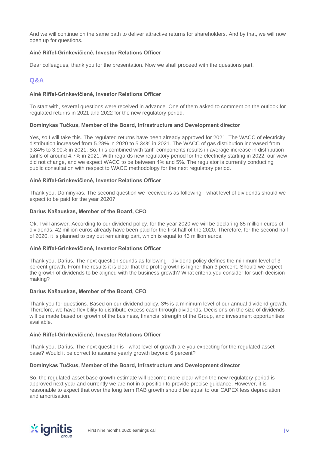And we will continue on the same path to deliver attractive returns for shareholders. And by that, we will now open up for questions.

## **Ainė Riffel-Grinkevičienė, Investor Relations Officer**

Dear colleagues, thank you for the presentation. Now we shall proceed with the questions part.

## **Q&A**

## **Ainė Riffel-Grinkevičienė, Investor Relations Officer**

To start with, several questions were received in advance. One of them asked to comment on the outlook for regulated returns in 2021 and 2022 for the new regulatory period.

#### **Dominykas Tučkus, Member of the Board, Infrastructure and Development director**

Yes, so I will take this. The regulated returns have been already approved for 2021. The WACC of electricity distribution increased from 5.28% in 2020 to 5.34% in 2021. The WACC of gas distribution increased from 3.84% to 3.90% in 2021. So, this combined with tariff components results in average increase in distribution tariffs of around 4.7% in 2021. With regards new regulatory period for the electricity starting in 2022, our view did not change, and we expect WACC to be between 4% and 5%. The regulator is currently conducting public consultation with respect to WACC methodology for the next regulatory period.

## **Ainė Riffel-Grinkevičienė, Investor Relations Officer**

Thank you, Dominykas. The second question we received is as following - what level of dividends should we expect to be paid for the year 2020?

#### **Darius Kašauskas, Member of the Board, CFO**

Ok, I will answer. According to our dividend policy, for the year 2020 we will be declaring 85 million euros of dividends. 42 million euros already have been paid for the first half of the 2020. Therefore, for the second half of 2020, it is planned to pay out remaining part, which is equal to 43 million euros.

#### **Ainė Riffel-Grinkevičienė, Investor Relations Officer**

Thank you, Darius. The next question sounds as following - dividend policy defines the minimum level of 3 percent growth. From the results it is clear that the profit growth is higher than 3 percent. Should we expect the growth of dividends to be aligned with the business growth? What criteria you consider for such decision making?

#### **Darius Kašauskas, Member of the Board, CFO**

Thank you for questions. Based on our dividend policy, 3% is a minimum level of our annual dividend growth. Therefore, we have flexibility to distribute excess cash through dividends. Decisions on the size of dividends will be made based on growth of the business, financial strength of the Group, and investment opportunities available.

#### **Ainė Riffel-Grinkevičienė, Investor Relations Officer**

Thank you, Darius. The next question is - what level of growth are you expecting for the regulated asset base? Would it be correct to assume yearly growth beyond 6 percent?

#### **Dominykas Tučkus, Member of the Board, Infrastructure and Development director**

So, the regulated asset base growth estimate will become more clear when the new regulatory period is approved next year and currently we are not in a position to provide precise guidance. However, it is reasonable to expect that over the long term RAB growth should be equal to our CAPEX less depreciation and amortisation.

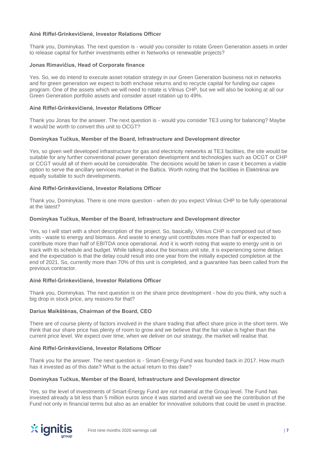## **Ainė Riffel-Grinkevičienė, Investor Relations Officer**

Thank you, Dominykas. The next question is - would you consider to rotate Green Generation assets in order to release capital for further investments either in Networks or renewable projects?

## **Jonas Rimavičius, Head of Corporate finance**

Yes. So, we do intend to execute asset rotation strategy in our Green Generation business not in networks and for green generation we expect to both enchase returns and to recycle capital for funding our capex program. One of the assets which we will need to rotate is Vilnius CHP, but we will also be looking at all our Green Generation portfolio assets and consider asset rotation up to 49%.

## **Ainė Riffel-Grinkevičienė, Investor Relations Officer**

Thank you Jonas for the answer. The next question is - would you consider TE3 using for balancing? Maybe it would be worth to convert this unit to OCGT?

## **Dominykas Tučkus, Member of the Board, Infrastructure and Development director**

Yes, so given well developed infrastructure for gas and electricity networks at TE3 facilities, the site would be suitable for any further conventional power generation development and technologies such as OCGT or CHP or CCGT would all of them would be considerable. The decisions would be taken in case it becomes a viable option to serve the ancillary services market in the Baltics. Worth noting that the facilities in Elektrėnai are equally suitable to such developments.

## **Ainė Riffel-Grinkevičienė, Investor Relations Officer**

Thank you, Dominykas. There is one more question - when do you expect Vilnius CHP to be fully operational at the latest?

## **Dominykas Tučkus, Member of the Board, Infrastructure and Development director**

Yes, so I will start with a short description of the project. So, basically, Vilnius CHP is composed out of two units - waste to energy and biomass. And waste to energy unit contributes more than half or expected to contribute more than half of EBITDA once operational. And it is worth noting that waste to energy unit is on track with its schedule and budget. While talking about the biomass unit site, it is experiencing some delays and the expectation is that the delay could result into one year from the initially expected completion at the end of 2021. So, currently more than 70% of this unit is completed, and a guarantee has been called from the previous contractor.

## **Ainė Riffel-Grinkevičienė, Investor Relations Officer**

Thank you, Dominykas. The next question is on the share price development - how do you think, why such a big drop in stock price, any reasons for that?

## **Darius Maikštėnas, Chairman of the Board, CEO**

There are of course plenty of factors involved in the share trading that affect share price in the short term. We think that our share price has plenty of room to grow and we believe that the fair value is higher than the current price level. We expect over time, when we deliver on our strategy, the market will realise that.

#### **Ainė Riffel-Grinkevičienė, Investor Relations Officer**

Thank you for the answer. The next question is - Smart-Energy Fund was founded back in 2017. How much has it invested as of this date? What is the actual return to this date?

## **Dominykas Tučkus, Member of the Board, Infrastructure and Development director**

Yes, so the level of investments of Smart-Energy Fund are not material at the Group level. The Fund has invested already a bit less than 5 million euros since it was started and overall we see the contribution of the Fund not only in financial terms but also as an enabler for innovative solutions that could be used in practise.

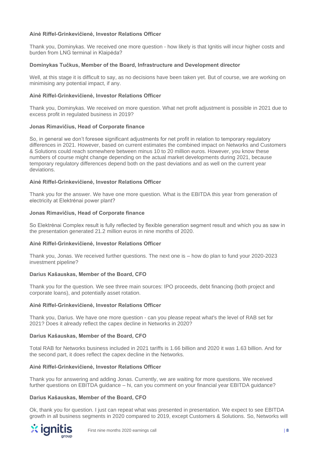## **Ainė Riffel-Grinkevičienė, Investor Relations Officer**

Thank you, Dominykas. We received one more question - how likely is that Ignitis will incur higher costs and burden from LNG terminal in Klaipėda?

## **Dominykas Tučkus, Member of the Board, Infrastructure and Development director**

Well, at this stage it is difficult to say, as no decisions have been taken yet. But of course, we are working on minimising any potential impact, if any.

## **Ainė Riffel-Grinkevičienė, Investor Relations Officer**

Thank you, Dominykas. We received on more question. What net profit adjustment is possible in 2021 due to excess profit in regulated business in 2019?

## **Jonas Rimavičius, Head of Corporate finance**

So, in general we don't foresee significant adjustments for net profit in relation to temporary regulatory differences in 2021. However, based on current estimates the combined impact on Networks and Customers & Solutions could reach somewhere between minus 10 to 20 million euros. However, you know these numbers of course might change depending on the actual market developments during 2021, because temporary regulatory differences depend both on the past deviations and as well on the current year deviations.

## **Ainė Riffel-Grinkevičienė, Investor Relations Officer**

Thank you for the answer. We have one more question. What is the EBITDA this year from generation of electricity at Elektrėnai power plant?

## **Jonas Rimavičius, Head of Corporate finance**

So Elektrėnai Complex result is fully reflected by flexible generation segment result and which you as saw in the presentation generated 21.2 million euros in nine months of 2020.

#### **Ainė Riffel-Grinkevičienė, Investor Relations Officer**

Thank you, Jonas. We received further questions. The next one is – how do plan to fund your 2020-2023 investment pipeline?

## **Darius Kašauskas, Member of the Board, CFO**

Thank you for the question. We see three main sources: IPO proceeds, debt financing (both project and corporate loans), and potentially asset rotation.

#### **Ainė Riffel-Grinkevičienė, Investor Relations Officer**

Thank you, Darius. We have one more question - can you please repeat what's the level of RAB set for 2021? Does it already reflect the capex decline in Networks in 2020?

#### **Darius Kašauskas, Member of the Board, CFO**

Total RAB for Networks business included in 2021 tariffs is 1.66 billion and 2020 it was 1.63 billion. And for the second part, it does reflect the capex decline in the Networks.

#### **Ainė Riffel-Grinkevičienė, Investor Relations Officer**

Thank you for answering and adding Jonas. Currently, we are waiting for more questions. We received further questions on EBITDA guidance – hi, can you comment on your financial year EBITDA guidance?

#### **Darius Kašauskas, Member of the Board, CFO**

Ok, thank you for question. I just can repeat what was presented in presentation. We expect to see EBITDA growth in all business segments in 2020 compared to 2019, except Customers & Solutions. So, Networks will

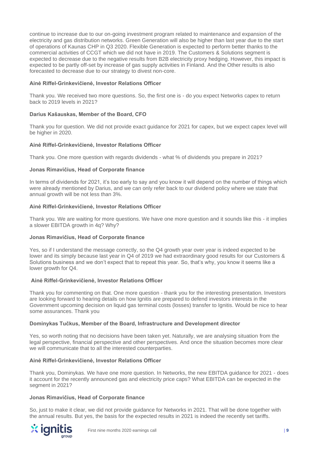continue to increase due to our on-going investment program related to maintenance and expansion of the electricity and gas distribution networks. Green Generation will also be higher than last year due to the start of operations of Kaunas CHP in Q3 2020. Flexible Generation is expected to perform better thanks to the commercial activities of CCGT which we did not have in 2019. The Customers & Solutions segment is expected to decrease due to the negative results from B2B electricity proxy hedging. However, this impact is expected to be partly off-set by increase of gas supply activities in Finland. And the Other results is also forecasted to decrease due to our strategy to divest non-core.

## **Ainė Riffel-Grinkevičienė, Investor Relations Officer**

Thank you. We received two more questions. So, the first one is - do you expect Networks capex to return back to 2019 levels in 2021?

## **Darius Kašauskas, Member of the Board, CFO**

Thank you for question. We did not provide exact guidance for 2021 for capex, but we expect capex level will be higher in 2020.

## **Ainė Riffel-Grinkevičienė, Investor Relations Officer**

Thank you. One more question with regards dividends - what % of dividends you prepare in 2021?

## **Jonas Rimavičius, Head of Corporate finance**

In terms of dividends for 2021, it's too early to say and you know it will depend on the number of things which were already mentioned by Darius, and we can only refer back to our dividend policy where we state that annual growth will be not less than 3%.

## **Ainė Riffel-Grinkevičienė, Investor Relations Officer**

Thank you. We are waiting for more questions. We have one more question and it sounds like this - it implies a slower EBITDA growth in 4q? Why?

## **Jonas Rimavičius, Head of Corporate finance**

Yes, so if I understand the message correctly, so the Q4 growth year over year is indeed expected to be lower and its simply because last year in Q4 of 2019 we had extraordinary good results for our Customers & Solutions business and we don't expect that to repeat this year. So, that's why, you know it seems like a lower growth for Q4.

## **Ainė Riffel-Grinkevičienė, Investor Relations Officer**

Thank you for commenting on that. One more question - thank you for the interesting presentation. Investors are looking forward to hearing details on how Ignitis are prepared to defend investors interests in the Government upcoming decision on liquid gas terminal costs (losses) transfer to Ignitis. Would be nice to hear some assurances. Thank you

## **Dominykas Tučkus, Member of the Board, Infrastructure and Development director**

Yes, so worth noting that no decisions have been taken yet. Naturally, we are analysing situation from the legal perspective, financial perspective and other perspectives. And once the situation becomes more clear we will communicate that to all the interested counterparties.

## **Ainė Riffel-Grinkevičienė, Investor Relations Officer**

Thank you, Dominykas. We have one more question. In Networks, the new EBITDA guidance for 2021 - does it account for the recently announced gas and electricity price caps? What EBITDA can be expected in the segment in 2021?

#### **Jonas Rimavičius, Head of Corporate finance**

So, just to make it clear, we did not provide guidance for Networks in 2021. That will be done together with the annual results. But yes, the basis for the expected results in 2021 is indeed the recently set tariffs.